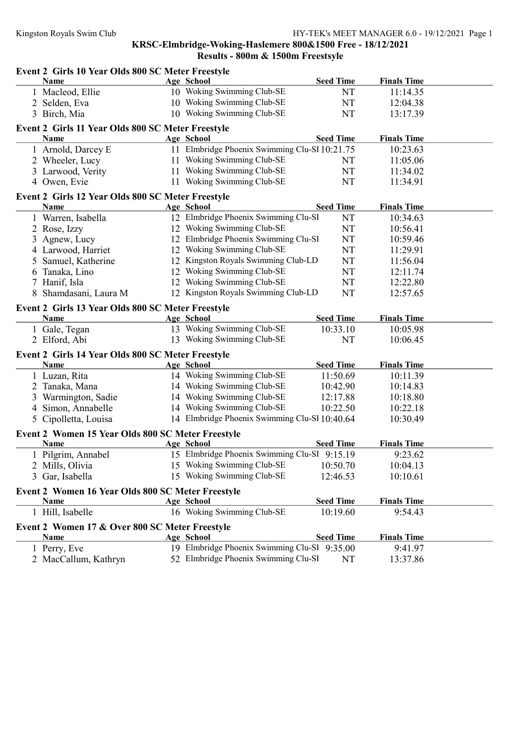KRSC-Elmbridge-Woking-Haslemere 800&1500 Free - 18/12/2021 Results - 800m & 1500m Freestsyle

| <b>Seed Time</b><br><b>Finals Time</b><br>Name<br>Age School<br>10 Woking Swimming Club-SE<br>1 Macleod, Ellie<br>NT<br>11:14.35<br>10 Woking Swimming Club-SE<br>NT<br>2 Selden, Eva<br>12:04.38<br>10 Woking Swimming Club-SE<br>3 Birch, Mia<br>NT<br>13:17.39<br>Event 2 Girls 11 Year Olds 800 SC Meter Freestyle<br><b>Seed Time</b><br>Age School<br><b>Finals Time</b><br>Name<br>11 Elmbridge Phoenix Swimming Clu-Sl 10:21.75<br>1 Arnold, Darcey E<br>10:23.63<br>11 Woking Swimming Club-SE<br>2 Wheeler, Lucy<br>NT<br>11:05.06<br>11 Woking Swimming Club-SE<br>3 Larwood, Verity<br>NT<br>11:34.02<br>11 Woking Swimming Club-SE<br>4 Owen, Evie<br>NT<br>11:34.91<br>Event 2 Girls 12 Year Olds 800 SC Meter Freestyle<br><b>Seed Time</b><br><b>Finals Time</b><br>Name<br>Age School<br>12 Elmbridge Phoenix Swimming Clu-Sl<br>1 Warren, Isabella<br>10:34.63<br>NT<br>12 Woking Swimming Club-SE<br>NT<br>2 Rose, Izzy<br>10:56.41<br>12 Elmbridge Phoenix Swimming Clu-Sl<br>NT<br>3 Agnew, Lucy<br>10:59.46<br>12 Woking Swimming Club-SE<br><b>NT</b><br>4 Larwood, Harriet<br>11:29.91<br>12 Kingston Royals Swimming Club-LD<br>NT<br>5 Samuel, Katherine<br>11:56.04<br>12 Woking Swimming Club-SE<br><b>NT</b><br>6 Tanaka, Lino<br>12:11.74<br>12 Woking Swimming Club-SE<br>NT<br>7 Hanif, Isla<br>12:22.80<br>12 Kingston Royals Swimming Club-LD<br>8 Shamdasani, Laura M<br>NT<br>12:57.65<br>Event 2 Girls 13 Year Olds 800 SC Meter Freestyle<br><b>Seed Time</b><br>Age School<br><b>Finals Time</b><br>Name<br>13 Woking Swimming Club-SE<br>1 Gale, Tegan<br>10:33.10<br>10:05.98<br>13 Woking Swimming Club-SE<br>2 Elford, Abi<br>NT<br>10:06.45<br>Event 2 Girls 14 Year Olds 800 SC Meter Freestyle<br>Age School<br><b>Seed Time</b><br>Name<br><b>Finals Time</b><br>14 Woking Swimming Club-SE<br>1 Luzan, Rita<br>11:50.69<br>10:11.39<br>14 Woking Swimming Club-SE<br>2 Tanaka, Mana<br>10:42.90<br>10:14.83<br>14 Woking Swimming Club-SE<br>3 Warmington, Sadie<br>12:17.88<br>10:18.80<br>14 Woking Swimming Club-SE<br>4 Simon, Annabelle<br>10:22.50<br>10:22.18<br>14 Elmbridge Phoenix Swimming Clu-Sl 10:40.64<br>5 Cipolletta, Louisa<br>10:30.49<br>Event 2 Women 15 Year Olds 800 SC Meter Freestyle<br>Age School<br><b>Seed Time</b><br><b>Finals Time</b><br>Name<br>15 Elmbridge Phoenix Swimming Clu-Sl 9:15.19<br>9:23.62<br>1 Pilgrim, Annabel<br>15 Woking Swimming Club-SE<br>10:50.70<br>2 Mills, Olivia<br>10:04.13<br>15 Woking Swimming Club-SE<br>3 Gar, Isabella<br>12:46.53<br>10:10.61<br>Event 2 Women 16 Year Olds 800 SC Meter Freestyle<br><b>Seed Time</b><br>Age School<br><b>Finals Time</b><br><b>Name</b><br>1 Hill, Isabelle<br>16 Woking Swimming Club-SE<br>10:19.60<br>9:54.43<br>Event 2 Women 17 & Over 800 SC Meter Freestyle<br><b>Seed Time</b><br><b>Finals Time</b><br>Name<br>Age School<br>19 Elmbridge Phoenix Swimming Clu-Sl 9:35.00<br>1 Perry, Eve<br>9:41.97<br>52 Elmbridge Phoenix Swimming Clu-Sl<br>2 MacCallum, Kathryn<br>NT<br>13:37.86 | Event 2 Girls 10 Year Olds 800 SC Meter Freestyle |  |  |  |
|-------------------------------------------------------------------------------------------------------------------------------------------------------------------------------------------------------------------------------------------------------------------------------------------------------------------------------------------------------------------------------------------------------------------------------------------------------------------------------------------------------------------------------------------------------------------------------------------------------------------------------------------------------------------------------------------------------------------------------------------------------------------------------------------------------------------------------------------------------------------------------------------------------------------------------------------------------------------------------------------------------------------------------------------------------------------------------------------------------------------------------------------------------------------------------------------------------------------------------------------------------------------------------------------------------------------------------------------------------------------------------------------------------------------------------------------------------------------------------------------------------------------------------------------------------------------------------------------------------------------------------------------------------------------------------------------------------------------------------------------------------------------------------------------------------------------------------------------------------------------------------------------------------------------------------------------------------------------------------------------------------------------------------------------------------------------------------------------------------------------------------------------------------------------------------------------------------------------------------------------------------------------------------------------------------------------------------------------------------------------------------------------------------------------------------------------------------------------------------------------------------------------------------------------------------------------------------------------------------------------------------------------------------------------------------------------------------------------------------------------------------------------------------------------------------------------------------------------------------------------------------------------------------------------------------------------------------------------------------------------------------------------------------------------------------|---------------------------------------------------|--|--|--|
|                                                                                                                                                                                                                                                                                                                                                                                                                                                                                                                                                                                                                                                                                                                                                                                                                                                                                                                                                                                                                                                                                                                                                                                                                                                                                                                                                                                                                                                                                                                                                                                                                                                                                                                                                                                                                                                                                                                                                                                                                                                                                                                                                                                                                                                                                                                                                                                                                                                                                                                                                                                                                                                                                                                                                                                                                                                                                                                                                                                                                                                       |                                                   |  |  |  |
|                                                                                                                                                                                                                                                                                                                                                                                                                                                                                                                                                                                                                                                                                                                                                                                                                                                                                                                                                                                                                                                                                                                                                                                                                                                                                                                                                                                                                                                                                                                                                                                                                                                                                                                                                                                                                                                                                                                                                                                                                                                                                                                                                                                                                                                                                                                                                                                                                                                                                                                                                                                                                                                                                                                                                                                                                                                                                                                                                                                                                                                       |                                                   |  |  |  |
|                                                                                                                                                                                                                                                                                                                                                                                                                                                                                                                                                                                                                                                                                                                                                                                                                                                                                                                                                                                                                                                                                                                                                                                                                                                                                                                                                                                                                                                                                                                                                                                                                                                                                                                                                                                                                                                                                                                                                                                                                                                                                                                                                                                                                                                                                                                                                                                                                                                                                                                                                                                                                                                                                                                                                                                                                                                                                                                                                                                                                                                       |                                                   |  |  |  |
|                                                                                                                                                                                                                                                                                                                                                                                                                                                                                                                                                                                                                                                                                                                                                                                                                                                                                                                                                                                                                                                                                                                                                                                                                                                                                                                                                                                                                                                                                                                                                                                                                                                                                                                                                                                                                                                                                                                                                                                                                                                                                                                                                                                                                                                                                                                                                                                                                                                                                                                                                                                                                                                                                                                                                                                                                                                                                                                                                                                                                                                       |                                                   |  |  |  |
|                                                                                                                                                                                                                                                                                                                                                                                                                                                                                                                                                                                                                                                                                                                                                                                                                                                                                                                                                                                                                                                                                                                                                                                                                                                                                                                                                                                                                                                                                                                                                                                                                                                                                                                                                                                                                                                                                                                                                                                                                                                                                                                                                                                                                                                                                                                                                                                                                                                                                                                                                                                                                                                                                                                                                                                                                                                                                                                                                                                                                                                       |                                                   |  |  |  |
|                                                                                                                                                                                                                                                                                                                                                                                                                                                                                                                                                                                                                                                                                                                                                                                                                                                                                                                                                                                                                                                                                                                                                                                                                                                                                                                                                                                                                                                                                                                                                                                                                                                                                                                                                                                                                                                                                                                                                                                                                                                                                                                                                                                                                                                                                                                                                                                                                                                                                                                                                                                                                                                                                                                                                                                                                                                                                                                                                                                                                                                       |                                                   |  |  |  |
|                                                                                                                                                                                                                                                                                                                                                                                                                                                                                                                                                                                                                                                                                                                                                                                                                                                                                                                                                                                                                                                                                                                                                                                                                                                                                                                                                                                                                                                                                                                                                                                                                                                                                                                                                                                                                                                                                                                                                                                                                                                                                                                                                                                                                                                                                                                                                                                                                                                                                                                                                                                                                                                                                                                                                                                                                                                                                                                                                                                                                                                       |                                                   |  |  |  |
|                                                                                                                                                                                                                                                                                                                                                                                                                                                                                                                                                                                                                                                                                                                                                                                                                                                                                                                                                                                                                                                                                                                                                                                                                                                                                                                                                                                                                                                                                                                                                                                                                                                                                                                                                                                                                                                                                                                                                                                                                                                                                                                                                                                                                                                                                                                                                                                                                                                                                                                                                                                                                                                                                                                                                                                                                                                                                                                                                                                                                                                       |                                                   |  |  |  |
|                                                                                                                                                                                                                                                                                                                                                                                                                                                                                                                                                                                                                                                                                                                                                                                                                                                                                                                                                                                                                                                                                                                                                                                                                                                                                                                                                                                                                                                                                                                                                                                                                                                                                                                                                                                                                                                                                                                                                                                                                                                                                                                                                                                                                                                                                                                                                                                                                                                                                                                                                                                                                                                                                                                                                                                                                                                                                                                                                                                                                                                       |                                                   |  |  |  |
|                                                                                                                                                                                                                                                                                                                                                                                                                                                                                                                                                                                                                                                                                                                                                                                                                                                                                                                                                                                                                                                                                                                                                                                                                                                                                                                                                                                                                                                                                                                                                                                                                                                                                                                                                                                                                                                                                                                                                                                                                                                                                                                                                                                                                                                                                                                                                                                                                                                                                                                                                                                                                                                                                                                                                                                                                                                                                                                                                                                                                                                       |                                                   |  |  |  |
|                                                                                                                                                                                                                                                                                                                                                                                                                                                                                                                                                                                                                                                                                                                                                                                                                                                                                                                                                                                                                                                                                                                                                                                                                                                                                                                                                                                                                                                                                                                                                                                                                                                                                                                                                                                                                                                                                                                                                                                                                                                                                                                                                                                                                                                                                                                                                                                                                                                                                                                                                                                                                                                                                                                                                                                                                                                                                                                                                                                                                                                       |                                                   |  |  |  |
|                                                                                                                                                                                                                                                                                                                                                                                                                                                                                                                                                                                                                                                                                                                                                                                                                                                                                                                                                                                                                                                                                                                                                                                                                                                                                                                                                                                                                                                                                                                                                                                                                                                                                                                                                                                                                                                                                                                                                                                                                                                                                                                                                                                                                                                                                                                                                                                                                                                                                                                                                                                                                                                                                                                                                                                                                                                                                                                                                                                                                                                       |                                                   |  |  |  |
|                                                                                                                                                                                                                                                                                                                                                                                                                                                                                                                                                                                                                                                                                                                                                                                                                                                                                                                                                                                                                                                                                                                                                                                                                                                                                                                                                                                                                                                                                                                                                                                                                                                                                                                                                                                                                                                                                                                                                                                                                                                                                                                                                                                                                                                                                                                                                                                                                                                                                                                                                                                                                                                                                                                                                                                                                                                                                                                                                                                                                                                       |                                                   |  |  |  |
|                                                                                                                                                                                                                                                                                                                                                                                                                                                                                                                                                                                                                                                                                                                                                                                                                                                                                                                                                                                                                                                                                                                                                                                                                                                                                                                                                                                                                                                                                                                                                                                                                                                                                                                                                                                                                                                                                                                                                                                                                                                                                                                                                                                                                                                                                                                                                                                                                                                                                                                                                                                                                                                                                                                                                                                                                                                                                                                                                                                                                                                       |                                                   |  |  |  |
|                                                                                                                                                                                                                                                                                                                                                                                                                                                                                                                                                                                                                                                                                                                                                                                                                                                                                                                                                                                                                                                                                                                                                                                                                                                                                                                                                                                                                                                                                                                                                                                                                                                                                                                                                                                                                                                                                                                                                                                                                                                                                                                                                                                                                                                                                                                                                                                                                                                                                                                                                                                                                                                                                                                                                                                                                                                                                                                                                                                                                                                       |                                                   |  |  |  |
|                                                                                                                                                                                                                                                                                                                                                                                                                                                                                                                                                                                                                                                                                                                                                                                                                                                                                                                                                                                                                                                                                                                                                                                                                                                                                                                                                                                                                                                                                                                                                                                                                                                                                                                                                                                                                                                                                                                                                                                                                                                                                                                                                                                                                                                                                                                                                                                                                                                                                                                                                                                                                                                                                                                                                                                                                                                                                                                                                                                                                                                       |                                                   |  |  |  |
|                                                                                                                                                                                                                                                                                                                                                                                                                                                                                                                                                                                                                                                                                                                                                                                                                                                                                                                                                                                                                                                                                                                                                                                                                                                                                                                                                                                                                                                                                                                                                                                                                                                                                                                                                                                                                                                                                                                                                                                                                                                                                                                                                                                                                                                                                                                                                                                                                                                                                                                                                                                                                                                                                                                                                                                                                                                                                                                                                                                                                                                       |                                                   |  |  |  |
|                                                                                                                                                                                                                                                                                                                                                                                                                                                                                                                                                                                                                                                                                                                                                                                                                                                                                                                                                                                                                                                                                                                                                                                                                                                                                                                                                                                                                                                                                                                                                                                                                                                                                                                                                                                                                                                                                                                                                                                                                                                                                                                                                                                                                                                                                                                                                                                                                                                                                                                                                                                                                                                                                                                                                                                                                                                                                                                                                                                                                                                       |                                                   |  |  |  |
|                                                                                                                                                                                                                                                                                                                                                                                                                                                                                                                                                                                                                                                                                                                                                                                                                                                                                                                                                                                                                                                                                                                                                                                                                                                                                                                                                                                                                                                                                                                                                                                                                                                                                                                                                                                                                                                                                                                                                                                                                                                                                                                                                                                                                                                                                                                                                                                                                                                                                                                                                                                                                                                                                                                                                                                                                                                                                                                                                                                                                                                       |                                                   |  |  |  |
|                                                                                                                                                                                                                                                                                                                                                                                                                                                                                                                                                                                                                                                                                                                                                                                                                                                                                                                                                                                                                                                                                                                                                                                                                                                                                                                                                                                                                                                                                                                                                                                                                                                                                                                                                                                                                                                                                                                                                                                                                                                                                                                                                                                                                                                                                                                                                                                                                                                                                                                                                                                                                                                                                                                                                                                                                                                                                                                                                                                                                                                       |                                                   |  |  |  |
|                                                                                                                                                                                                                                                                                                                                                                                                                                                                                                                                                                                                                                                                                                                                                                                                                                                                                                                                                                                                                                                                                                                                                                                                                                                                                                                                                                                                                                                                                                                                                                                                                                                                                                                                                                                                                                                                                                                                                                                                                                                                                                                                                                                                                                                                                                                                                                                                                                                                                                                                                                                                                                                                                                                                                                                                                                                                                                                                                                                                                                                       |                                                   |  |  |  |
|                                                                                                                                                                                                                                                                                                                                                                                                                                                                                                                                                                                                                                                                                                                                                                                                                                                                                                                                                                                                                                                                                                                                                                                                                                                                                                                                                                                                                                                                                                                                                                                                                                                                                                                                                                                                                                                                                                                                                                                                                                                                                                                                                                                                                                                                                                                                                                                                                                                                                                                                                                                                                                                                                                                                                                                                                                                                                                                                                                                                                                                       |                                                   |  |  |  |
|                                                                                                                                                                                                                                                                                                                                                                                                                                                                                                                                                                                                                                                                                                                                                                                                                                                                                                                                                                                                                                                                                                                                                                                                                                                                                                                                                                                                                                                                                                                                                                                                                                                                                                                                                                                                                                                                                                                                                                                                                                                                                                                                                                                                                                                                                                                                                                                                                                                                                                                                                                                                                                                                                                                                                                                                                                                                                                                                                                                                                                                       |                                                   |  |  |  |
|                                                                                                                                                                                                                                                                                                                                                                                                                                                                                                                                                                                                                                                                                                                                                                                                                                                                                                                                                                                                                                                                                                                                                                                                                                                                                                                                                                                                                                                                                                                                                                                                                                                                                                                                                                                                                                                                                                                                                                                                                                                                                                                                                                                                                                                                                                                                                                                                                                                                                                                                                                                                                                                                                                                                                                                                                                                                                                                                                                                                                                                       |                                                   |  |  |  |
|                                                                                                                                                                                                                                                                                                                                                                                                                                                                                                                                                                                                                                                                                                                                                                                                                                                                                                                                                                                                                                                                                                                                                                                                                                                                                                                                                                                                                                                                                                                                                                                                                                                                                                                                                                                                                                                                                                                                                                                                                                                                                                                                                                                                                                                                                                                                                                                                                                                                                                                                                                                                                                                                                                                                                                                                                                                                                                                                                                                                                                                       |                                                   |  |  |  |
|                                                                                                                                                                                                                                                                                                                                                                                                                                                                                                                                                                                                                                                                                                                                                                                                                                                                                                                                                                                                                                                                                                                                                                                                                                                                                                                                                                                                                                                                                                                                                                                                                                                                                                                                                                                                                                                                                                                                                                                                                                                                                                                                                                                                                                                                                                                                                                                                                                                                                                                                                                                                                                                                                                                                                                                                                                                                                                                                                                                                                                                       |                                                   |  |  |  |
|                                                                                                                                                                                                                                                                                                                                                                                                                                                                                                                                                                                                                                                                                                                                                                                                                                                                                                                                                                                                                                                                                                                                                                                                                                                                                                                                                                                                                                                                                                                                                                                                                                                                                                                                                                                                                                                                                                                                                                                                                                                                                                                                                                                                                                                                                                                                                                                                                                                                                                                                                                                                                                                                                                                                                                                                                                                                                                                                                                                                                                                       |                                                   |  |  |  |
|                                                                                                                                                                                                                                                                                                                                                                                                                                                                                                                                                                                                                                                                                                                                                                                                                                                                                                                                                                                                                                                                                                                                                                                                                                                                                                                                                                                                                                                                                                                                                                                                                                                                                                                                                                                                                                                                                                                                                                                                                                                                                                                                                                                                                                                                                                                                                                                                                                                                                                                                                                                                                                                                                                                                                                                                                                                                                                                                                                                                                                                       |                                                   |  |  |  |
|                                                                                                                                                                                                                                                                                                                                                                                                                                                                                                                                                                                                                                                                                                                                                                                                                                                                                                                                                                                                                                                                                                                                                                                                                                                                                                                                                                                                                                                                                                                                                                                                                                                                                                                                                                                                                                                                                                                                                                                                                                                                                                                                                                                                                                                                                                                                                                                                                                                                                                                                                                                                                                                                                                                                                                                                                                                                                                                                                                                                                                                       |                                                   |  |  |  |
|                                                                                                                                                                                                                                                                                                                                                                                                                                                                                                                                                                                                                                                                                                                                                                                                                                                                                                                                                                                                                                                                                                                                                                                                                                                                                                                                                                                                                                                                                                                                                                                                                                                                                                                                                                                                                                                                                                                                                                                                                                                                                                                                                                                                                                                                                                                                                                                                                                                                                                                                                                                                                                                                                                                                                                                                                                                                                                                                                                                                                                                       |                                                   |  |  |  |
|                                                                                                                                                                                                                                                                                                                                                                                                                                                                                                                                                                                                                                                                                                                                                                                                                                                                                                                                                                                                                                                                                                                                                                                                                                                                                                                                                                                                                                                                                                                                                                                                                                                                                                                                                                                                                                                                                                                                                                                                                                                                                                                                                                                                                                                                                                                                                                                                                                                                                                                                                                                                                                                                                                                                                                                                                                                                                                                                                                                                                                                       |                                                   |  |  |  |
|                                                                                                                                                                                                                                                                                                                                                                                                                                                                                                                                                                                                                                                                                                                                                                                                                                                                                                                                                                                                                                                                                                                                                                                                                                                                                                                                                                                                                                                                                                                                                                                                                                                                                                                                                                                                                                                                                                                                                                                                                                                                                                                                                                                                                                                                                                                                                                                                                                                                                                                                                                                                                                                                                                                                                                                                                                                                                                                                                                                                                                                       |                                                   |  |  |  |
|                                                                                                                                                                                                                                                                                                                                                                                                                                                                                                                                                                                                                                                                                                                                                                                                                                                                                                                                                                                                                                                                                                                                                                                                                                                                                                                                                                                                                                                                                                                                                                                                                                                                                                                                                                                                                                                                                                                                                                                                                                                                                                                                                                                                                                                                                                                                                                                                                                                                                                                                                                                                                                                                                                                                                                                                                                                                                                                                                                                                                                                       |                                                   |  |  |  |
|                                                                                                                                                                                                                                                                                                                                                                                                                                                                                                                                                                                                                                                                                                                                                                                                                                                                                                                                                                                                                                                                                                                                                                                                                                                                                                                                                                                                                                                                                                                                                                                                                                                                                                                                                                                                                                                                                                                                                                                                                                                                                                                                                                                                                                                                                                                                                                                                                                                                                                                                                                                                                                                                                                                                                                                                                                                                                                                                                                                                                                                       |                                                   |  |  |  |
|                                                                                                                                                                                                                                                                                                                                                                                                                                                                                                                                                                                                                                                                                                                                                                                                                                                                                                                                                                                                                                                                                                                                                                                                                                                                                                                                                                                                                                                                                                                                                                                                                                                                                                                                                                                                                                                                                                                                                                                                                                                                                                                                                                                                                                                                                                                                                                                                                                                                                                                                                                                                                                                                                                                                                                                                                                                                                                                                                                                                                                                       |                                                   |  |  |  |
|                                                                                                                                                                                                                                                                                                                                                                                                                                                                                                                                                                                                                                                                                                                                                                                                                                                                                                                                                                                                                                                                                                                                                                                                                                                                                                                                                                                                                                                                                                                                                                                                                                                                                                                                                                                                                                                                                                                                                                                                                                                                                                                                                                                                                                                                                                                                                                                                                                                                                                                                                                                                                                                                                                                                                                                                                                                                                                                                                                                                                                                       |                                                   |  |  |  |
|                                                                                                                                                                                                                                                                                                                                                                                                                                                                                                                                                                                                                                                                                                                                                                                                                                                                                                                                                                                                                                                                                                                                                                                                                                                                                                                                                                                                                                                                                                                                                                                                                                                                                                                                                                                                                                                                                                                                                                                                                                                                                                                                                                                                                                                                                                                                                                                                                                                                                                                                                                                                                                                                                                                                                                                                                                                                                                                                                                                                                                                       |                                                   |  |  |  |
|                                                                                                                                                                                                                                                                                                                                                                                                                                                                                                                                                                                                                                                                                                                                                                                                                                                                                                                                                                                                                                                                                                                                                                                                                                                                                                                                                                                                                                                                                                                                                                                                                                                                                                                                                                                                                                                                                                                                                                                                                                                                                                                                                                                                                                                                                                                                                                                                                                                                                                                                                                                                                                                                                                                                                                                                                                                                                                                                                                                                                                                       |                                                   |  |  |  |
|                                                                                                                                                                                                                                                                                                                                                                                                                                                                                                                                                                                                                                                                                                                                                                                                                                                                                                                                                                                                                                                                                                                                                                                                                                                                                                                                                                                                                                                                                                                                                                                                                                                                                                                                                                                                                                                                                                                                                                                                                                                                                                                                                                                                                                                                                                                                                                                                                                                                                                                                                                                                                                                                                                                                                                                                                                                                                                                                                                                                                                                       |                                                   |  |  |  |
|                                                                                                                                                                                                                                                                                                                                                                                                                                                                                                                                                                                                                                                                                                                                                                                                                                                                                                                                                                                                                                                                                                                                                                                                                                                                                                                                                                                                                                                                                                                                                                                                                                                                                                                                                                                                                                                                                                                                                                                                                                                                                                                                                                                                                                                                                                                                                                                                                                                                                                                                                                                                                                                                                                                                                                                                                                                                                                                                                                                                                                                       |                                                   |  |  |  |
|                                                                                                                                                                                                                                                                                                                                                                                                                                                                                                                                                                                                                                                                                                                                                                                                                                                                                                                                                                                                                                                                                                                                                                                                                                                                                                                                                                                                                                                                                                                                                                                                                                                                                                                                                                                                                                                                                                                                                                                                                                                                                                                                                                                                                                                                                                                                                                                                                                                                                                                                                                                                                                                                                                                                                                                                                                                                                                                                                                                                                                                       |                                                   |  |  |  |
|                                                                                                                                                                                                                                                                                                                                                                                                                                                                                                                                                                                                                                                                                                                                                                                                                                                                                                                                                                                                                                                                                                                                                                                                                                                                                                                                                                                                                                                                                                                                                                                                                                                                                                                                                                                                                                                                                                                                                                                                                                                                                                                                                                                                                                                                                                                                                                                                                                                                                                                                                                                                                                                                                                                                                                                                                                                                                                                                                                                                                                                       |                                                   |  |  |  |
|                                                                                                                                                                                                                                                                                                                                                                                                                                                                                                                                                                                                                                                                                                                                                                                                                                                                                                                                                                                                                                                                                                                                                                                                                                                                                                                                                                                                                                                                                                                                                                                                                                                                                                                                                                                                                                                                                                                                                                                                                                                                                                                                                                                                                                                                                                                                                                                                                                                                                                                                                                                                                                                                                                                                                                                                                                                                                                                                                                                                                                                       |                                                   |  |  |  |